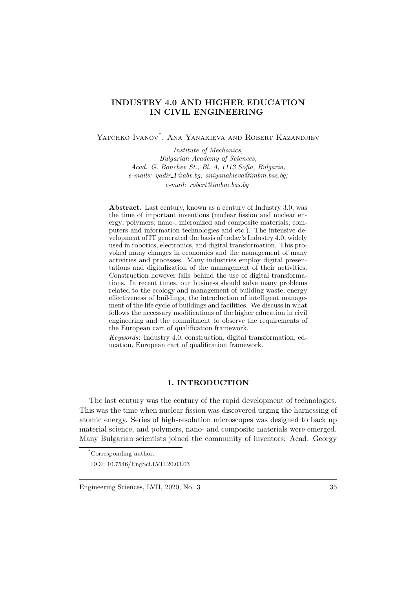# INDUSTRY 4.0 AND HIGHER EDUCATION IN CIVIL ENGINEERING

Yatchko Ivanov\* , Ana Yanakieva and Robert Kazandjiev

*Institute of Mechanics, Bulgarian Academy of Sciences, Acad. G. Bonchev St., Bl.* 4, 1113 *Sofia, Bulgaria, e-mails: yadir* 1*@abv.bg; aniyanakieva@imbm.bas.bg; e-mail: robert@imbm.bas.bg*

Abstract. Last century, known as a century of Industry 3.0, was the time of important inventions (nuclear fission and nuclear energy; polymers; nano-, micronized and composite materials; computers and information technologies and etc.). The intensive development of IT generated the basis of today's Industry 4.0, widely used in robotics, electronics, and digital transformation. This provoked many changes in economics and the management of many activities and processes. Many industries employ digital presentations and digitalization of the management of their activities. Construction however falls behind the use of digital transformations. In recent times, our business should solve many problems related to the ecology and management of building waste, energy effectiveness of buildings, the introduction of intelligent management of the life cycle of buildings and facilities. We discuss in what follows the necessary modifications of the higher education in civil engineering and the commitment to observe the requirements of the European cart of qualification framework.

*Keywords*: Industry 4.0, construction, digital transformation, education, European cart of qualification framework.

#### 1. INTRODUCTION

The last century was the century of the rapid development of technologies. This was the time when nuclear fission was discovered urging the harnessing of atomic energy. Series of high-resolution microscopes was designed to back up material science, and polymers, nano- and composite materials were emerged. Many Bulgarian scientists joined the community of inventors: Acad. Georgy

<sup>\*</sup>Corresponding author.

DOI: 10.7546/EngSci.LVII.20.03.03

Engineering Sciences, LVII, 2020, No. 3 35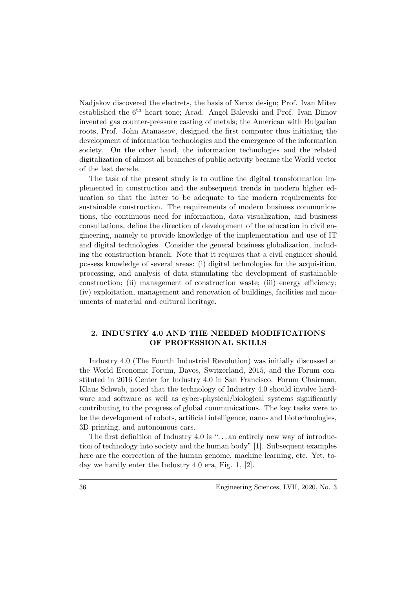Nadjakov discovered the electrets, the basis of Xerox design; Prof. Ivan Mitev established the 6<sup>th</sup> heart tone; Acad. Angel Balevski and Prof. Ivan Dimov invented gas counter-pressure casting of metals; the American with Bulgarian roots, Prof. John Atanassov, designed the first computer thus initiating the development of information technologies and the emergence of the information society. On the other hand, the information technologies and the related digitalization of almost all branches of public activity became the World vector of the last decade.

The task of the present study is to outline the digital transformation implemented in construction and the subsequent trends in modern higher education so that the latter to be adequate to the modern requirements for sustainable construction. The requirements of modern business communications, the continuous need for information, data visualization, and business consultations, define the direction of development of the education in civil engineering, namely to provide knowledge of the implementation and use of IT and digital technologies. Consider the general business globalization, including the construction branch. Note that it requires that a civil engineer should possess knowledge of several areas: (i) digital technologies for the acquisition, processing, and analysis of data stimulating the development of sustainable construction; (ii) management of construction waste; (iii) energy efficiency; (iv) exploitation, management and renovation of buildings, facilities and monuments of material and cultural heritage.

# 2. INDUSTRY 4.0 AND THE NEEDED MODIFICATIONS OF PROFESSIONAL SKILLS

Industry 4.0 (The Fourth Industrial Revolution) was initially discussed at the World Economic Forum, Davos, Switzerland, 2015, and the Forum constituted in 2016 Center for Industry 4.0 in San Francisco. Forum Chairman, Klaus Schwab, noted that the technology of Industry 4.0 should involve hardware and software as well as cyber-physical/biological systems significantly contributing to the progress of global communications. The key tasks were to be the development of robots, artificial intelligence, nano- and biotechnologies, 3D printing, and autonomous cars.

The first definition of Industry 4.0 is "... an entirely new way of introduction of technology into society and the human body" [1]. Subsequent examples here are the correction of the human genome, machine learning, etc. Yet, today we hardly enter the Industry 4.0 era, Fig. 1, [2].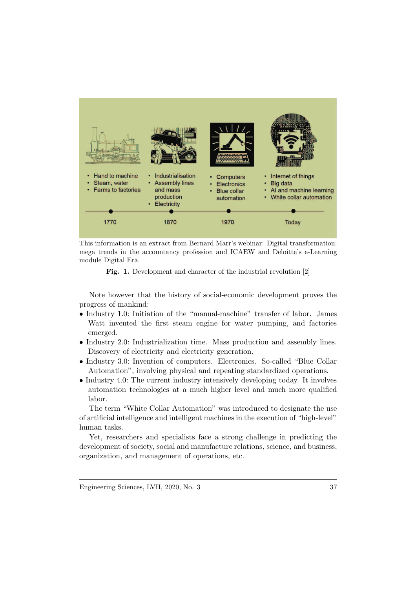

This information is an extract from Bernard Marr's webinar: Digital transformation: mega trends in the accountancy profession and ICAEW and Deloitte's e-Learning module Digital Era.

Fig. 1. Development and character of the industrial revolution [2]

Note however that the history of social-economic development proves the progress of mankind:

- Industry 1.0: Initiation of the "manual-machine" transfer of labor. James Watt invented the first steam engine for water pumping, and factories emerged.
- Industry 2.0: Industrialization time. Mass production and assembly lines. Discovery of electricity and electricity generation.
- Industry 3.0: Invention of computers. Electronics. So-called "Blue Collar Automation", involving physical and repeating standardized operations.
- Industry 4.0: The current industry intensively developing today. It involves automation technologies at a much higher level and much more qualified labor.

The term "White Collar Automation" was introduced to designate the use of artificial intelligence and intelligent machines in the execution of "high-level" human tasks.

Yet, researchers and specialists face a strong challenge in predicting the development of society, social and manufacture relations, science, and business, organization, and management of operations, etc.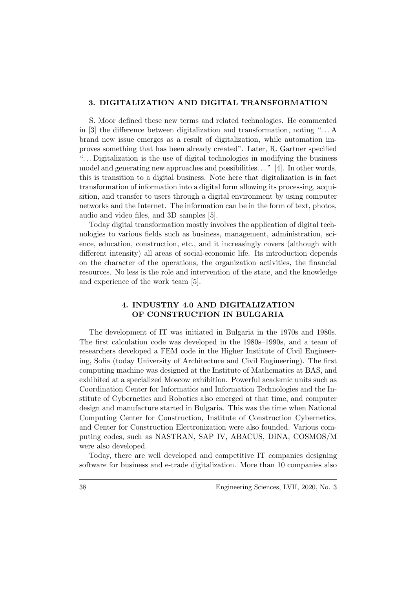## 3. DIGITALIZATION AND DIGITAL TRANSFORMATION

S. Moor defined these new terms and related technologies. He commented in [3] the difference between digitalization and transformation, noting ". . . A brand new issue emerges as a result of digitalization, while automation improves something that has been already created". Later, R. Gartner specified ". . . Digitalization is the use of digital technologies in modifying the business model and generating new approaches and possibilities. . . " [4]. In other words, this is transition to a digital business. Note here that digitalization is in fact transformation of information into a digital form allowing its processing, acquisition, and transfer to users through a digital environment by using computer networks and the Internet. The information can be in the form of text, photos, audio and video files, and 3D samples [5].

Today digital transformation mostly involves the application of digital technologies to various fields such as business, management, administration, science, education, construction, etc., and it increasingly covers (although with different intensity) all areas of social-economic life. Its introduction depends on the character of the operations, the organization activities, the financial resources. No less is the role and intervention of the state, and the knowledge and experience of the work team [5].

## 4. INDUSTRY 4.0 AND DIGITALIZATION OF CONSTRUCTION IN BULGARIA

The development of IT was initiated in Bulgaria in the 1970s and 1980s. The first calculation code was developed in the 1980s–1990s, and a team of researchers developed a FEM code in the Higher Institute of Civil Engineering, Sofia (today University of Architecture and Civil Engineering). The first computing machine was designed at the Institute of Mathematics at BAS, and exhibited at a specialized Moscow exhibition. Powerful academic units such as Coordination Center for Informatics and Information Technologies and the Institute of Cybernetics and Robotics also emerged at that time, and computer design and manufacture started in Bulgaria. This was the time when National Computing Center for Construction, Institute of Construction Cybernetics, and Center for Construction Electronization were also founded. Various computing codes, such as NASTRAN, SAP IV, ABACUS, DINA, COSMOS/M were also developed.

Today, there are well developed and competitive IT companies designing software for business and e-trade digitalization. More than 10 companies also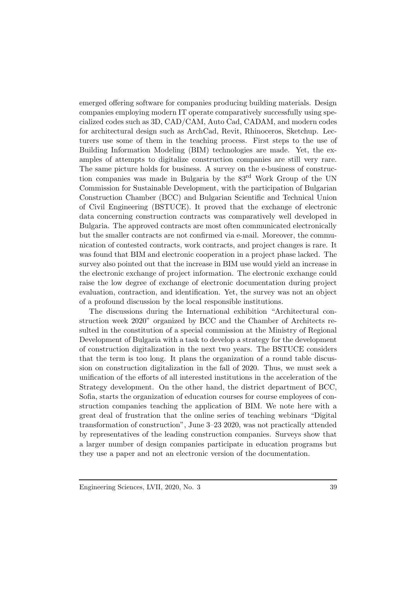emerged offering software for companies producing building materials. Design companies employing modern IT operate comparatively successfully using specialized codes such as 3D, CAD/CAM, Auto Cad, CADAM, and modern codes for architectural design such as ArchCad, Revit, Rhinoceros, Sketchup. Lecturers use some of them in the teaching process. First steps to the use of Building Information Modeling (BIM) technologies are made. Yet, the examples of attempts to digitalize construction companies are still very rare. The same picture holds for business. A survey on the e-business of construction companies was made in Bulgaria by the 83rd Work Group of the UN Commission for Sustainable Development, with the participation of Bulgarian Construction Chamber (BCC) and Bulgarian Scientific and Technical Union of Civil Engineering (BSTUCE). It proved that the exchange of electronic data concerning construction contracts was comparatively well developed in Bulgaria. The approved contracts are most often communicated electronically but the smaller contracts are not confirmed via e-mail. Moreover, the communication of contested contracts, work contracts, and project changes is rare. It was found that BIM and electronic cooperation in a project phase lacked. The survey also pointed out that the increase in BIM use would yield an increase in the electronic exchange of project information. The electronic exchange could raise the low degree of exchange of electronic documentation during project evaluation, contraction, and identification. Yet, the survey was not an object of a profound discussion by the local responsible institutions.

The discussions during the International exhibition "Architectural construction week 2020" organized by BCC and the Chamber of Architects resulted in the constitution of a special commission at the Ministry of Regional Development of Bulgaria with a task to develop a strategy for the development of construction digitalization in the next two years. The BSTUCE considers that the term is too long. It plans the organization of a round table discussion on construction digitalization in the fall of 2020. Thus, we must seek a unification of the efforts of all interested institutions in the acceleration of the Strategy development. On the other hand, the district department of BCC, Sofia, starts the organization of education courses for course employees of construction companies teaching the application of BIM. We note here with a great deal of frustration that the online series of teaching webinars "Digital transformation of construction", June 3–23 2020, was not practically attended by representatives of the leading construction companies. Surveys show that a larger number of design companies participate in education programs but they use a paper and not an electronic version of the documentation.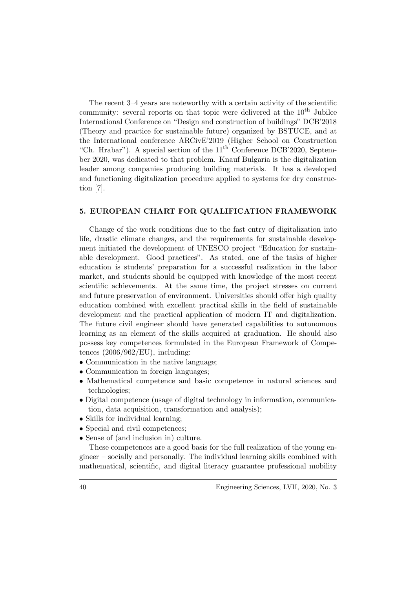The recent 3–4 years are noteworthy with a certain activity of the scientific community: several reports on that topic were delivered at the  $10^{th}$  Jubilee International Conference on "Design and construction of buildings" DCB'2018 (Theory and practice for sustainable future) organized by BSTUCE, and at the International conference ARCivE'2019 (Higher School on Construction "Ch. Hrabar"). A special section of the  $11<sup>th</sup>$  Conference DCB'2020, September 2020, was dedicated to that problem. Knauf Bulgaria is the digitalization leader among companies producing building materials. It has a developed and functioning digitalization procedure applied to systems for dry construction [7].

#### 5. EUROPEAN CHART FOR QUALIFICATION FRAMEWORK

Change of the work conditions due to the fast entry of digitalization into life, drastic climate changes, and the requirements for sustainable development initiated the development of UNESCO project "Education for sustainable development. Good practices". As stated, one of the tasks of higher education is students' preparation for a successful realization in the labor market, and students should be equipped with knowledge of the most recent scientific achievements. At the same time, the project stresses on current and future preservation of environment. Universities should offer high quality education combined with excellent practical skills in the field of sustainable development and the practical application of modern IT and digitalization. The future civil engineer should have generated capabilities to autonomous learning as an element of the skills acquired at graduation. He should also possess key competences formulated in the European Framework of Competences  $(2006/962/EU)$ , including:

- Communication in the native language;
- Communication in foreign languages;
- Mathematical competence and basic competence in natural sciences and technologies;
- Digital competence (usage of digital technology in information, communication, data acquisition, transformation and analysis);
- Skills for individual learning;
- Special and civil competences;
- Sense of (and inclusion in) culture.

These competences are a good basis for the full realization of the young engineer – socially and personally. The individual learning skills combined with mathematical, scientific, and digital literacy guarantee professional mobility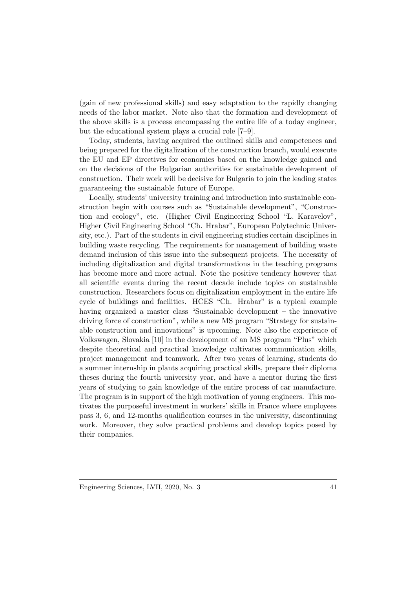(gain of new professional skills) and easy adaptation to the rapidly changing needs of the labor market. Note also that the formation and development of the above skills is a process encompassing the entire life of a today engineer, but the educational system plays a crucial role [7–9].

Today, students, having acquired the outlined skills and competences and being prepared for the digitalization of the construction branch, would execute the EU and EP directives for economics based on the knowledge gained and on the decisions of the Bulgarian authorities for sustainable development of construction. Their work will be decisive for Bulgaria to join the leading states guaranteeing the sustainable future of Europe.

Locally, students' university training and introduction into sustainable construction begin with courses such as "Sustainable development", "Construction and ecology", etc. (Higher Civil Engineering School "L. Karavelov", Higher Civil Engineering School "Ch. Hrabar", European Polytechnic University, etc.). Part of the students in civil engineering studies certain disciplines in building waste recycling. The requirements for management of building waste demand inclusion of this issue into the subsequent projects. The necessity of including digitalization and digital transformations in the teaching programs has become more and more actual. Note the positive tendency however that all scientific events during the recent decade include topics on sustainable construction. Researchers focus on digitalization employment in the entire life cycle of buildings and facilities. HCES "Ch. Hrabar" is a typical example having organized a master class "Sustainable development – the innovative driving force of construction", while a new MS program "Strategy for sustainable construction and innovations" is upcoming. Note also the experience of Volkswagen, Slovakia [10] in the development of an MS program "Plus" which despite theoretical and practical knowledge cultivates communication skills, project management and teamwork. After two years of learning, students do a summer internship in plants acquiring practical skills, prepare their diploma theses during the fourth university year, and have a mentor during the first years of studying to gain knowledge of the entire process of car manufacture. The program is in support of the high motivation of young engineers. This motivates the purposeful investment in workers' skills in France where employees pass 3, 6, and 12-months qualification courses in the university, discontinuing work. Moreover, they solve practical problems and develop topics posed by their companies.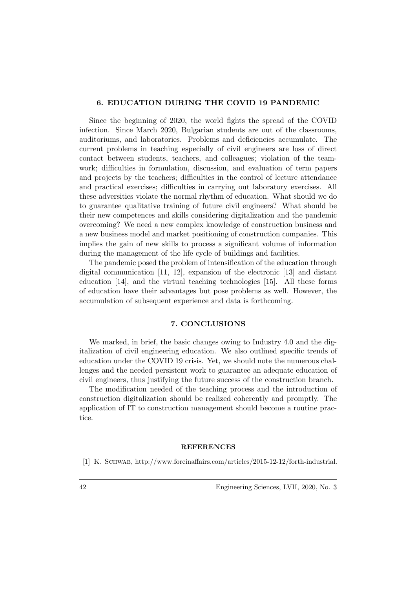### 6. EDUCATION DURING THE COVID 19 PANDEMIC

Since the beginning of 2020, the world fights the spread of the COVID infection. Since March 2020, Bulgarian students are out of the classrooms, auditoriums, and laboratories. Problems and deficiencies accumulate. The current problems in teaching especially of civil engineers are loss of direct contact between students, teachers, and colleagues; violation of the teamwork; difficulties in formulation, discussion, and evaluation of term papers and projects by the teachers; difficulties in the control of lecture attendance and practical exercises; difficulties in carrying out laboratory exercises. All these adversities violate the normal rhythm of education. What should we do to guarantee qualitative training of future civil engineers? What should be their new competences and skills considering digitalization and the pandemic overcoming? We need a new complex knowledge of construction business and a new business model and market positioning of construction companies. This implies the gain of new skills to process a significant volume of information during the management of the life cycle of buildings and facilities.

The pandemic posed the problem of intensification of the education through digital communication [11, 12], expansion of the electronic [13] and distant education [14], and the virtual teaching technologies [15]. All these forms of education have their advantages but pose problems as well. However, the accumulation of subsequent experience and data is forthcoming.

#### 7. CONCLUSIONS

We marked, in brief, the basic changes owing to Industry 4.0 and the digitalization of civil engineering education. We also outlined specific trends of education under the COVID 19 crisis. Yet, we should note the numerous challenges and the needed persistent work to guarantee an adequate education of civil engineers, thus justifying the future success of the construction branch.

The modification needed of the teaching process and the introduction of construction digitalization should be realized coherently and promptly. The application of IT to construction management should become a routine practice.

#### REFERENCES

[1] K. Schwab, http://www.foreinaffairs.com/articles/2015-12-12/forth-industrial.